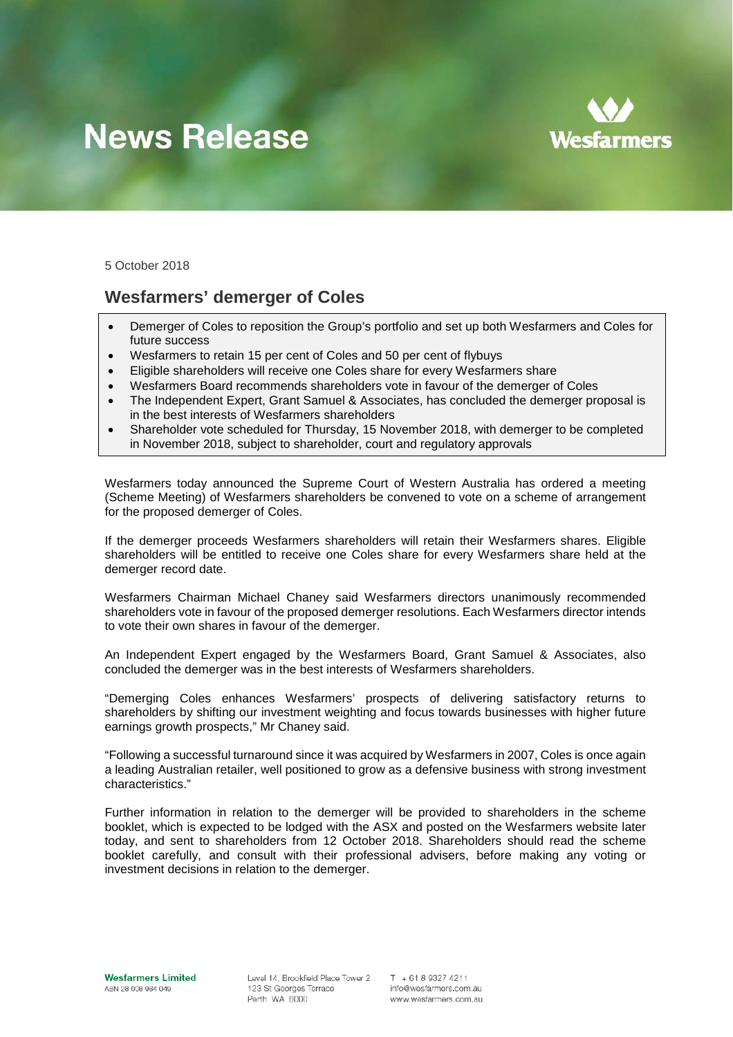# **News Release**



5 October 2018

## **Wesfarmers' demerger of Coles**

- Demerger of Coles to reposition the Group's portfolio and set up both Wesfarmers and Coles for future success
- Wesfarmers to retain 15 per cent of Coles and 50 per cent of flybuys
- Eligible shareholders will receive one Coles share for every Wesfarmers share
- Wesfarmers Board recommends shareholders vote in favour of the demerger of Coles
- The Independent Expert, Grant Samuel & Associates, has concluded the demerger proposal is in the best interests of Wesfarmers shareholders
- Shareholder vote scheduled for Thursday, 15 November 2018, with demerger to be completed in November 2018, subject to shareholder, court and regulatory approvals

Wesfarmers today announced the Supreme Court of Western Australia has ordered a meeting (Scheme Meeting) of Wesfarmers shareholders be convened to vote on a scheme of arrangement for the proposed demerger of Coles.

If the demerger proceeds Wesfarmers shareholders will retain their Wesfarmers shares. Eligible shareholders will be entitled to receive one Coles share for every Wesfarmers share held at the demerger record date.

Wesfarmers Chairman Michael Chaney said Wesfarmers directors unanimously recommended shareholders vote in favour of the proposed demerger resolutions. Each Wesfarmers director intends to vote their own shares in favour of the demerger.

An Independent Expert engaged by the Wesfarmers Board, Grant Samuel & Associates, also concluded the demerger was in the best interests of Wesfarmers shareholders.

"Demerging Coles enhances Wesfarmers' prospects of delivering satisfactory returns to shareholders by shifting our investment weighting and focus towards businesses with higher future earnings growth prospects," Mr Chaney said.

"Following a successful turnaround since it was acquired by Wesfarmers in 2007, Coles is once again a leading Australian retailer, well positioned to grow as a defensive business with strong investment characteristics."

Further information in relation to the demerger will be provided to shareholders in the scheme booklet, which is expected to be lodged with the ASX and posted on the Wesfarmers website later today, and sent to shareholders from 12 October 2018. Shareholders should read the scheme booklet carefully, and consult with their professional advisers, before making any voting or investment decisions in relation to the demerger.

Level 14, Brookfield Place Tower 2 123 St Georges Terrace Perth WA 6000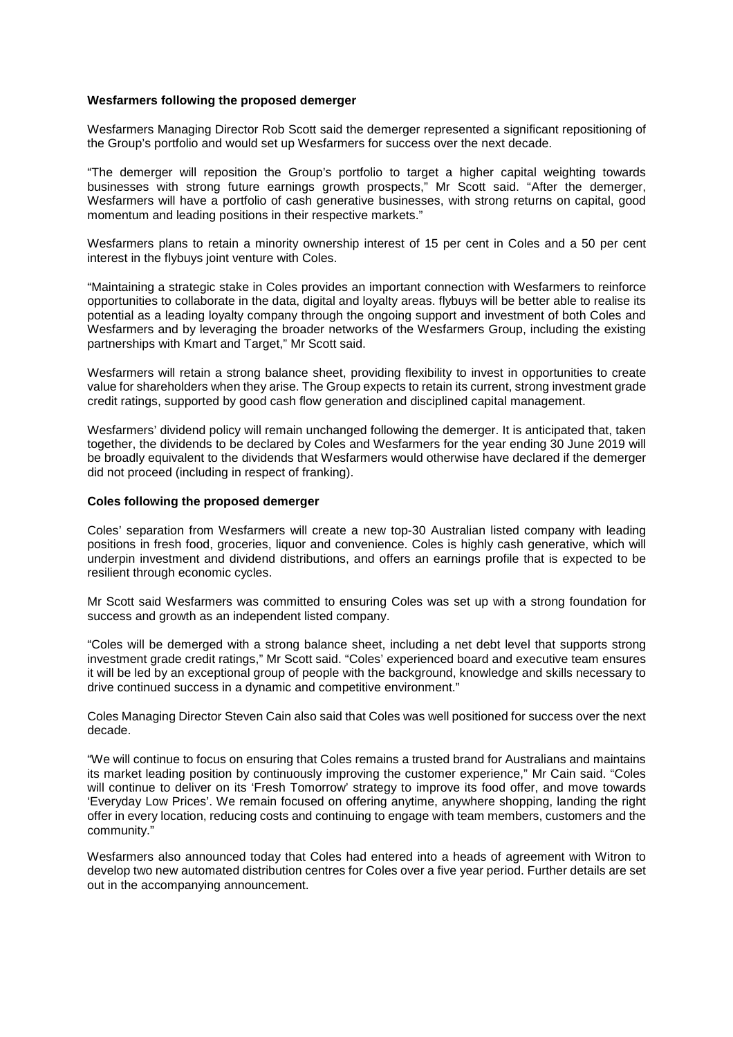### **Wesfarmers following the proposed demerger**

Wesfarmers Managing Director Rob Scott said the demerger represented a significant repositioning of the Group's portfolio and would set up Wesfarmers for success over the next decade.

"The demerger will reposition the Group's portfolio to target a higher capital weighting towards businesses with strong future earnings growth prospects," Mr Scott said. "After the demerger, Wesfarmers will have a portfolio of cash generative businesses, with strong returns on capital, good momentum and leading positions in their respective markets."

Wesfarmers plans to retain a minority ownership interest of 15 per cent in Coles and a 50 per cent interest in the flybuys joint venture with Coles.

"Maintaining a strategic stake in Coles provides an important connection with Wesfarmers to reinforce opportunities to collaborate in the data, digital and loyalty areas. flybuys will be better able to realise its potential as a leading loyalty company through the ongoing support and investment of both Coles and Wesfarmers and by leveraging the broader networks of the Wesfarmers Group, including the existing partnerships with Kmart and Target," Mr Scott said.

Wesfarmers will retain a strong balance sheet, providing flexibility to invest in opportunities to create value for shareholders when they arise. The Group expects to retain its current, strong investment grade credit ratings, supported by good cash flow generation and disciplined capital management.

Wesfarmers' dividend policy will remain unchanged following the demerger. It is anticipated that, taken together, the dividends to be declared by Coles and Wesfarmers for the year ending 30 June 2019 will be broadly equivalent to the dividends that Wesfarmers would otherwise have declared if the demerger did not proceed (including in respect of franking).

#### **Coles following the proposed demerger**

Coles' separation from Wesfarmers will create a new top-30 Australian listed company with leading positions in fresh food, groceries, liquor and convenience. Coles is highly cash generative, which will underpin investment and dividend distributions, and offers an earnings profile that is expected to be resilient through economic cycles.

Mr Scott said Wesfarmers was committed to ensuring Coles was set up with a strong foundation for success and growth as an independent listed company.

"Coles will be demerged with a strong balance sheet, including a net debt level that supports strong investment grade credit ratings," Mr Scott said. "Coles' experienced board and executive team ensures it will be led by an exceptional group of people with the background, knowledge and skills necessary to drive continued success in a dynamic and competitive environment."

Coles Managing Director Steven Cain also said that Coles was well positioned for success over the next decade.

"We will continue to focus on ensuring that Coles remains a trusted brand for Australians and maintains its market leading position by continuously improving the customer experience," Mr Cain said. "Coles will continue to deliver on its 'Fresh Tomorrow' strategy to improve its food offer, and move towards 'Everyday Low Prices'. We remain focused on offering anytime, anywhere shopping, landing the right offer in every location, reducing costs and continuing to engage with team members, customers and the community."

Wesfarmers also announced today that Coles had entered into a heads of agreement with Witron to develop two new automated distribution centres for Coles over a five year period. Further details are set out in the accompanying announcement.